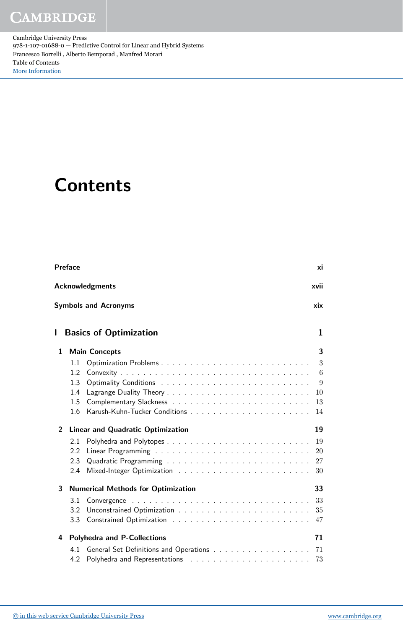Cambridge University Press 978-1-107-01688-0 — Predictive Control for Linear and Hybrid Systems Francesco Borrelli , Alberto Bemporad , Manfred Morari Table of Contents [More Information](www.cambridge.org/9781107016880)

## **Contents**

|                | Preface                                   | xi  |  |  |  |  |  |  |  |  |
|----------------|-------------------------------------------|-----|--|--|--|--|--|--|--|--|
|                | <b>Acknowledgments</b><br>xvii            |     |  |  |  |  |  |  |  |  |
|                | <b>Symbols and Acronyms</b>               | xix |  |  |  |  |  |  |  |  |
| ı              | <b>Basics of Optimization</b>             | 1   |  |  |  |  |  |  |  |  |
| 1              | <b>Main Concepts</b>                      | 3   |  |  |  |  |  |  |  |  |
|                | 1.1                                       | 3   |  |  |  |  |  |  |  |  |
|                | 1.2                                       | 6   |  |  |  |  |  |  |  |  |
|                | 1.3                                       | 9   |  |  |  |  |  |  |  |  |
|                | 1.4                                       | 10  |  |  |  |  |  |  |  |  |
|                | 1.5                                       | 13  |  |  |  |  |  |  |  |  |
|                | 1.6                                       | 14  |  |  |  |  |  |  |  |  |
| $\overline{2}$ | <b>Linear and Quadratic Optimization</b>  | 19  |  |  |  |  |  |  |  |  |
|                | 2.1                                       | 19  |  |  |  |  |  |  |  |  |
|                | 2.2                                       | 20  |  |  |  |  |  |  |  |  |
|                | 2.3                                       | 27  |  |  |  |  |  |  |  |  |
|                | 2.4                                       | 30  |  |  |  |  |  |  |  |  |
| 3              | <b>Numerical Methods for Optimization</b> |     |  |  |  |  |  |  |  |  |
|                | 3.1                                       | 33  |  |  |  |  |  |  |  |  |
|                | 3.2                                       | 35  |  |  |  |  |  |  |  |  |
|                | 3.3                                       | 47  |  |  |  |  |  |  |  |  |
| 4              | <b>Polyhedra and P-Collections</b>        | 71  |  |  |  |  |  |  |  |  |
|                | 4.1                                       | 71  |  |  |  |  |  |  |  |  |
|                | 4.2                                       | 73  |  |  |  |  |  |  |  |  |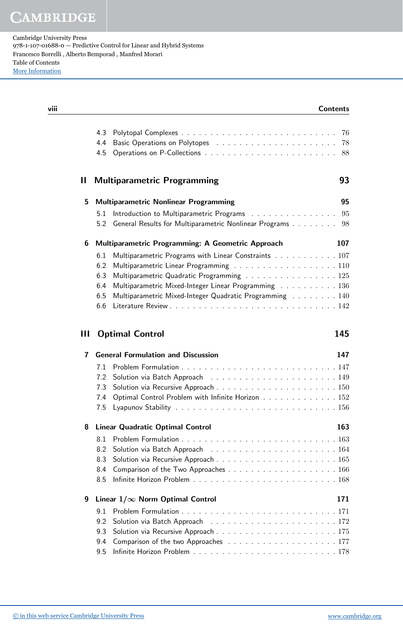Cambridge University Press 978-1-107-01688-0 — Predictive Control for Linear and Hybrid Systems Francesco Borrelli , Alberto Bemporad , Manfred Morari Table of Contents [More Information](www.cambridge.org/9781107016880)

| viii |   |                   | <b>Contents</b>                                              |  |
|------|---|-------------------|--------------------------------------------------------------|--|
|      |   | 4.3<br>4.4<br>4.5 | 76<br>78<br>88                                               |  |
|      | Ш |                   | 93<br><b>Multiparametric Programming</b>                     |  |
|      | 5 |                   | <b>Multiparametric Nonlinear Programming</b><br>95           |  |
|      |   | 5.1               | Introduction to Multiparametric Programs<br>95               |  |
|      |   | 5.2               | General Results for Multiparametric Nonlinear Programs<br>98 |  |
|      | 6 |                   | Multiparametric Programming: A Geometric Approach<br>107     |  |
|      |   | 6.1               | Multiparametric Programs with Linear Constraints 107         |  |
|      |   | 6.2               | Multiparametric Linear Programming 110                       |  |
|      |   | 6.3               | Multiparametric Quadratic Programming 125                    |  |
|      |   | 6.4               | Multiparametric Mixed-Integer Linear Programming 136         |  |
|      |   | 6.5               | Multiparametric Mixed-Integer Quadratic Programming 140      |  |
|      |   | 6.6               |                                                              |  |
|      | Ш |                   | 145<br><b>Optimal Control</b>                                |  |
|      | 7 |                   | <b>General Formulation and Discussion</b><br>147             |  |
|      |   | 7.1               |                                                              |  |
|      |   | 7.2               |                                                              |  |
|      |   | 7.3               |                                                              |  |
|      |   | 7.4               | Optimal Control Problem with Infinite Horizon 152            |  |
|      |   | 7.5               |                                                              |  |
|      | 8 |                   | <b>Linear Quadratic Optimal Control</b><br>163               |  |
|      |   |                   |                                                              |  |
|      |   | 8.2               |                                                              |  |
|      |   | 8.3               |                                                              |  |
|      |   | 8.4               |                                                              |  |
|      |   | 8.5               |                                                              |  |
|      | 9 |                   | Linear $1/\infty$ Norm Optimal Control<br>171                |  |
|      |   | 9.1               |                                                              |  |
|      |   | 9.2               |                                                              |  |
|      |   | 9.3               |                                                              |  |
|      |   | 9.4               |                                                              |  |
|      |   | 9.5               |                                                              |  |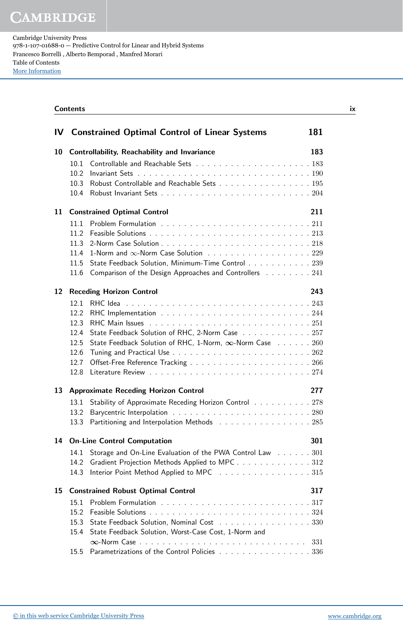**CAMBRIDGE** 

Cambridge University Press 978-1-107-01688-0 — Predictive Control for Linear and Hybrid Systems Francesco Borrelli , Alberto Bemporad , Manfred Morari Table of Contents [More Information](www.cambridge.org/9781107016880)

|    | <b>Contents</b>                                            |                                                                 |  |  |  |  |  |
|----|------------------------------------------------------------|-----------------------------------------------------------------|--|--|--|--|--|
| IV |                                                            | <b>Constrained Optimal Control of Linear Systems</b><br>181     |  |  |  |  |  |
| 10 | <b>Controllability, Reachability and Invariance</b><br>183 |                                                                 |  |  |  |  |  |
|    | 10.1                                                       |                                                                 |  |  |  |  |  |
|    | 10.2                                                       |                                                                 |  |  |  |  |  |
|    | 10.3                                                       | Robust Controllable and Reachable Sets 195                      |  |  |  |  |  |
|    | 10.4                                                       |                                                                 |  |  |  |  |  |
| 11 | <b>Constrained Optimal Control</b><br>211                  |                                                                 |  |  |  |  |  |
|    | 11.1                                                       |                                                                 |  |  |  |  |  |
|    | 11.2                                                       |                                                                 |  |  |  |  |  |
|    | 11.3                                                       |                                                                 |  |  |  |  |  |
|    | 11.4                                                       | 1-Norm and $\infty$ -Norm Case Solution 229                     |  |  |  |  |  |
|    | 11.5                                                       | State Feedback Solution, Minimum-Time Control 239               |  |  |  |  |  |
|    | 11.6                                                       | Comparison of the Design Approaches and Controllers 241         |  |  |  |  |  |
| 12 |                                                            | <b>Receding Horizon Control</b><br>243                          |  |  |  |  |  |
|    | 12.1                                                       |                                                                 |  |  |  |  |  |
|    | 12.2                                                       |                                                                 |  |  |  |  |  |
|    | 12.3                                                       |                                                                 |  |  |  |  |  |
|    | 12.4                                                       | State Feedback Solution of RHC, 2-Norm Case 257                 |  |  |  |  |  |
|    | 12.5                                                       | State Feedback Solution of RHC, 1-Norm, $\infty$ -Norm Case 260 |  |  |  |  |  |
|    | 12.6                                                       |                                                                 |  |  |  |  |  |
|    | 12.7                                                       |                                                                 |  |  |  |  |  |
|    | 12.8                                                       |                                                                 |  |  |  |  |  |
| 13 |                                                            | <b>Approximate Receding Horizon Control</b><br>277              |  |  |  |  |  |
|    | 13.1                                                       | Stability of Approximate Receding Horizon Control 278           |  |  |  |  |  |
|    | 13.2                                                       |                                                                 |  |  |  |  |  |
|    | 13.3                                                       | Partitioning and Interpolation Methods 285                      |  |  |  |  |  |
| 14 |                                                            | <b>On-Line Control Computation</b><br>301                       |  |  |  |  |  |
|    | 14.1                                                       | Storage and On-Line Evaluation of the PWA Control Law 301       |  |  |  |  |  |
|    | 14.2                                                       | Gradient Projection Methods Applied to MPC 312                  |  |  |  |  |  |
|    | 14.3                                                       | Interior Point Method Applied to MPC 315                        |  |  |  |  |  |
| 15 | <b>Constrained Robust Optimal Control</b><br>317           |                                                                 |  |  |  |  |  |
|    | 15.1                                                       |                                                                 |  |  |  |  |  |
|    | 15.2                                                       |                                                                 |  |  |  |  |  |
|    | 15.3                                                       | State Feedback Solution, Nominal Cost 330                       |  |  |  |  |  |
|    | 15.4                                                       | State Feedback Solution, Worst-Case Cost, 1-Norm and            |  |  |  |  |  |
|    |                                                            | 331                                                             |  |  |  |  |  |
|    | 15.5                                                       | Parametrizations of the Control Policies 336                    |  |  |  |  |  |